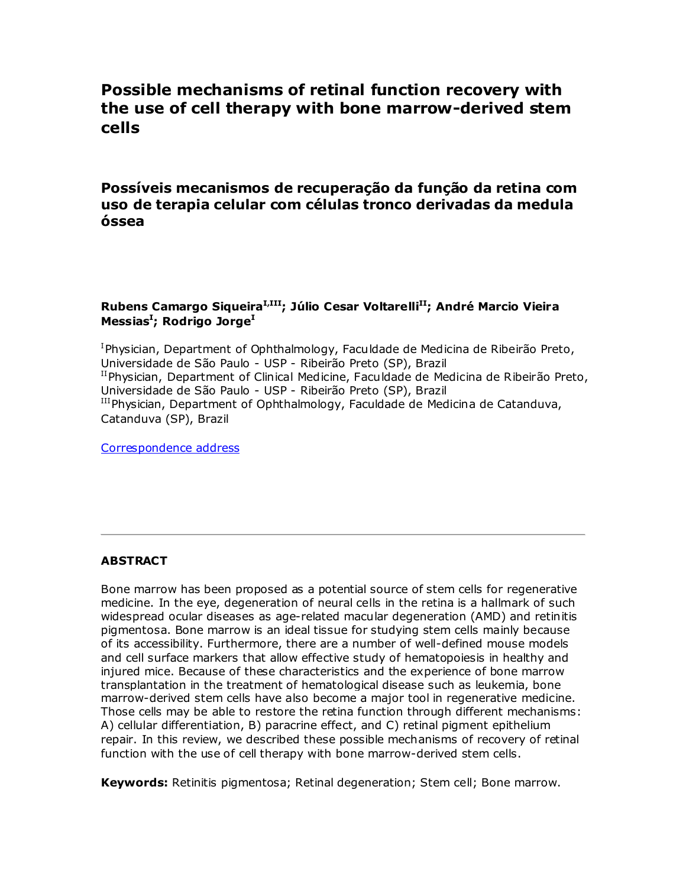# **Possible mechanisms of retinal function recovery with the use of cell therapy with bone marrow-derived stem cells**

**Possíveis mecanismos de recuperação da função da retina com uso de terapia celular com células tronco derivadas da medula óssea**

# **Rubens Camargo SiqueiraI,III; Júlio Cesar VoltarelliII; André Marcio Vieira Messias<sup>I</sup> ; Rodrigo Jorge<sup>I</sup>**

<sup>I</sup>Physician, Department of Ophthalmology, Faculdade de Medicina de Ribeirão Preto, Universidade de São Paulo - USP - Ribeirão Preto (SP), Brazil  $^{II}$ Physician, Department of Clinical Medicine, Faculdade de Medicina de Ribeirão Preto, Universidade de São Paulo - USP - Ribeirão Preto (SP), Brazil IIIPhysician, Department of Ophthalmology, Faculdade de Medicina de Catanduva, Catanduva (SP), Brazil

[Correspondence address](http://www.scielo.br/scielo.php?script=sci_arttext&pid=S0004-27492010000500019&lng=en&nrm=iso&tlng=en#nt)

# **ABSTRACT**

Bone marrow has been proposed as a potential source of stem cells for regenerative medicine. In the eye, degeneration of neural cells in the retina is a hallmark of such widespread ocular diseases as age-related macular degeneration (AMD) and retinitis pigmentosa. Bone marrow is an ideal tissue for studying stem cells mainly because of its accessibility. Furthermore, there are a number of well-defined mouse models and cell surface markers that allow effective study of hematopoiesis in healthy and injured mice. Because of these characteristics and the experience of bone marrow transplantation in the treatment of hematological disease such as leukemia, bone marrow-derived stem cells have also become a major tool in regenerative medicine. Those cells may be able to restore the retina function through different mechanisms: A) cellular differentiation, B) paracrine effect, and C) retinal pigment epithelium repair. In this review, we described these possible mechanisms of recovery of retinal function with the use of cell therapy with bone marrow-derived stem cells.

**Keywords:** Retinitis pigmentosa; Retinal degeneration; Stem cell; Bone marrow.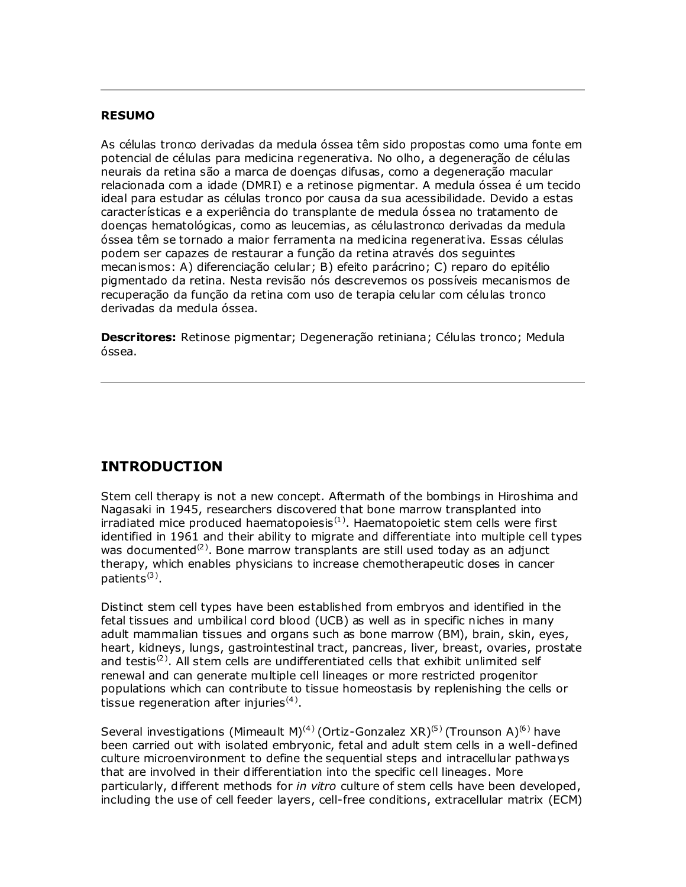#### **RESUMO**

As células tronco derivadas da medula óssea têm sido propostas como uma fonte em potencial de células para medicina regenerativa. No olho, a degeneração de células neurais da retina são a marca de doenças difusas, como a degeneração macular relacionada com a idade (DMRI) e a retinose pigmentar. A medula óssea é um tecido ideal para estudar as células tronco por causa da sua acessibilidade. Devido a estas características e a experiência do transplante de medula óssea no tratamento de doenças hematológicas, como as leucemias, as célulastronco derivadas da medula óssea têm se tornado a maior ferramenta na medicina regenerativa. Essas células podem ser capazes de restaurar a função da retina através dos seguintes mecanismos: A) diferenciação celular; B) efeito parácrino; C) reparo do epitélio pigmentado da retina. Nesta revisão nós descrevemos os possíveis mecanismos de recuperação da função da retina com uso de terapia celular com células tronco derivadas da medula óssea.

**Descritores:** Retinose pigmentar; Degeneração retiniana; Células tronco; Medula óssea.

# **INTRODUCTION**

Stem cell therapy is not a new concept. Aftermath of the bombings in Hiroshima and Nagasaki in 1945, researchers discovered that bone marrow transplanted into irradiated mice produced haematopoiesis $<sup>(1)</sup>$ . Haematopoietic stem cells were first</sup> identified in 1961 and their ability to migrate and differentiate into multiple cell types was documented<sup>(2)</sup>. Bone marrow transplants are still used today as an adjunct therapy, which enables physicians to increase chemotherapeutic doses in cancer patients<sup>(3)</sup>.

Distinct stem cell types have been established from embryos and identified in the fetal tissues and umbilical cord blood (UCB) as well as in specific niches in many adult mammalian tissues and organs such as bone marrow (BM), brain, skin, eyes, heart, kidneys, lungs, gastrointestinal tract, pancreas, liver, breast, ovaries, prostate and testis<sup>(2)</sup>. All stem cells are undifferentiated cells that exhibit unlimited self renewal and can generate multiple cell lineages or more restricted progenitor populations which can contribute to tissue homeostasis by replenishing the cells or tissue regeneration after injuries $^{(4)}$ .

Several investigations (Mimeault M)<sup>(4)</sup> (Ortiz-Gonzalez XR)<sup>(5)</sup> (Trounson A)<sup>(6)</sup> have been carried out with isolated embryonic, fetal and adult stem cells in a well-defined culture microenvironment to define the sequential steps and intracellular pathways that are involved in their differentiation into the specific cell lineages. More particularly, different methods for *in vitro* culture of stem cells have been developed, including the use of cell feeder layers, cell-free conditions, extracellular matrix (ECM)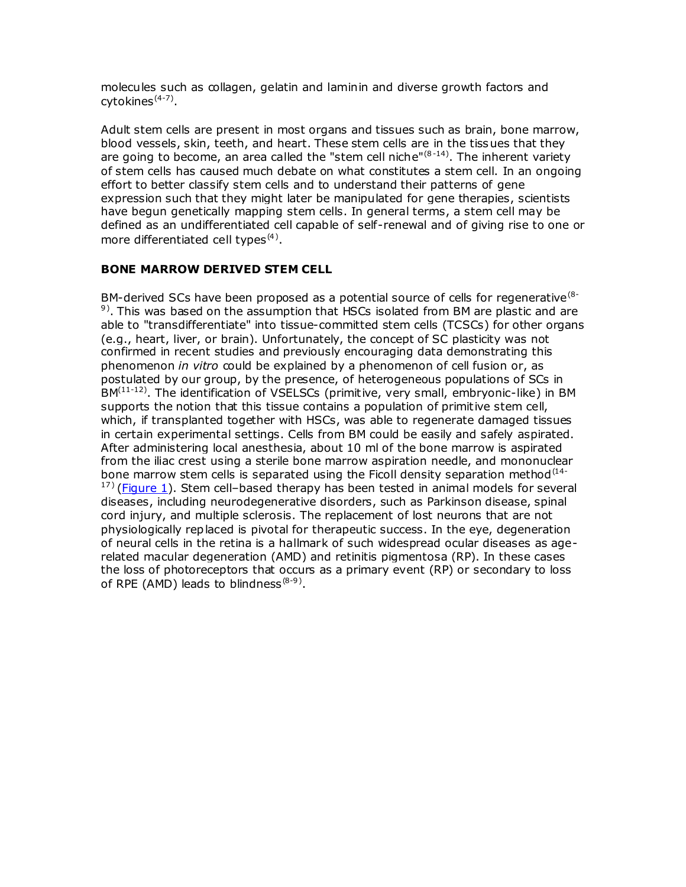molecules such as collagen, gelatin and laminin and diverse growth factors and cytokines<sup>(4-7)</sup>.

Adult stem cells are present in most organs and tissues such as brain, bone marrow, blood vessels, skin, teeth, and heart. These stem cells are in the tissues that they are going to become, an area called the "stem cell niche" $(8-14)$ . The inherent variety of stem cells has caused much debate on what constitutes a stem cell. In an ongoing effort to better classify stem cells and to understand their patterns of gene expression such that they might later be manipulated for gene therapies, scientists have begun genetically mapping stem cells. In general terms, a stem cell may be defined as an undifferentiated cell capable of self-renewal and of giving rise to one or more differentiated cell types $(4)$ .

#### **BONE MARROW DERIVED STEM CELL**

BM-derived SCs have been proposed as a potential source of cells for regenerative<sup>(8-1</sup>)  $9$ ). This was based on the assumption that HSCs isolated from BM are plastic and are able to "transdifferentiate" into tissue-committed stem cells (TCSCs) for other organs (e.g., heart, liver, or brain). Unfortunately, the concept of SC plasticity was not confirmed in recent studies and previously encouraging data demonstrating this phenomenon *in vitro* could be explained by a phenomenon of cell fusion or, as postulated by our group, by the presence, of heterogeneous populations of SCs in BM<sup>(11-12)</sup>. The identification of VSELSCs (primitive, very small, embryonic-like) in BM supports the notion that this tissue contains a population of primitive stem cell, which, if transplanted together with HSCs, was able to regenerate damaged tissues in certain experimental settings. Cells from BM could be easily and safely aspirated. After administering local anesthesia, about 10 ml of the bone marrow is aspirated from the iliac crest using a sterile bone marrow aspiration needle, and mononuclear bone marrow stem cells is separated using the Ficoll density separation method<sup>(14-</sup>  $17$ ) [\(Figure 1\)](http://www.scielo.br/scielo.php?script=sci_arttext&pid=S0004-27492010000500019&lng=en&nrm=iso&tlng=en#fig01). Stem cell-based therapy has been tested in animal models for several diseases, including neurodegenerative disorders, such as Parkinson disease, spinal cord injury, and multiple sclerosis. The replacement of lost neurons that are not physiologically replaced is pivotal for therapeutic success. In the eye, degeneration of neural cells in the retina is a hallmark of such widespread ocular diseases as agerelated macular degeneration (AMD) and retinitis pigmentosa (RP). In these cases the loss of photoreceptors that occurs as a primary event (RP) or secondary to loss of RPE (AMD) leads to blindness ${}^{(8-9)}$ .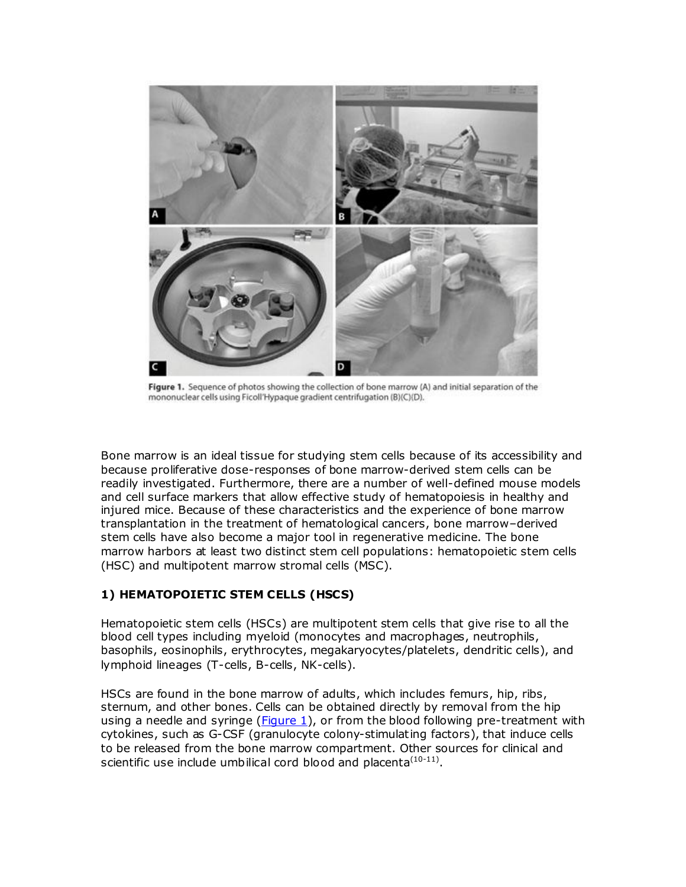

Figure 1. Sequence of photos showing the collection of bone marrow (A) and initial separation of the mononuclear cells using Ficoll'Hypaque gradient centrifugation (B)(C)(D).

Bone marrow is an ideal tissue for studying stem cells because of its accessibility and because proliferative dose-responses of bone marrow-derived stem cells can be readily investigated. Furthermore, there are a number of well-defined mouse models and cell surface markers that allow effective study of hematopoiesis in healthy and injured mice. Because of these characteristics and the experience of bone marrow transplantation in the treatment of hematological cancers, bone marrow–derived stem cells have also become a major tool in regenerative medicine. The bone marrow harbors at least two distinct stem cell populations: hematopoietic stem cells (HSC) and multipotent marrow stromal cells (MSC).

# **1) HEMATOPOIETIC STEM CELLS (HSCS)**

Hematopoietic stem cells (HSCs) are multipotent stem cells that give rise to all the blood cell types including myeloid (monocytes and macrophages, neutrophils, basophils, eosinophils, erythrocytes, megakaryocytes/platelets, dendritic cells), and lymphoid lineages (T-cells, B-cells, NK-cells).

HSCs are found in the bone marrow of adults, which includes femurs, hip, ribs, sternum, and other bones. Cells can be obtained directly by removal from the hip using a needle and syringe ( $Figure 1$ ), or from the blood following pre-treatment with cytokines, such as G-CSF (granulocyte colony-stimulating factors), that induce cells to be released from the bone marrow compartment. Other sources for clinical and scientific use include umbilical cord blood and placenta $(10-11)$ .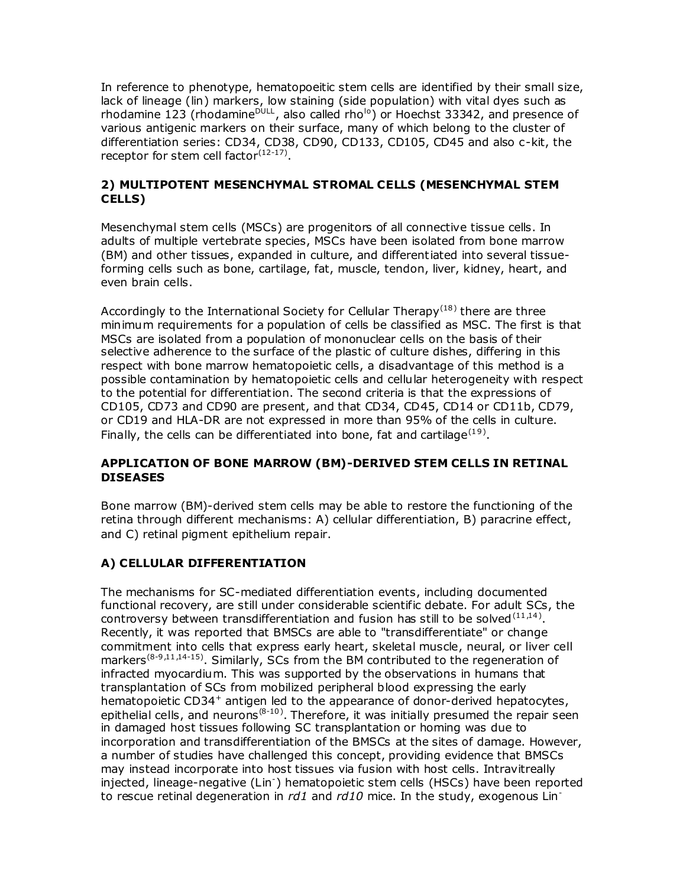In reference to phenotype, hematopoeitic stem cells are identified by their small size, lack of lineage (lin) markers, low staining (side population) with vital dyes such as rhodamine 123 (rhodamine<sup>DULL</sup>, also called rho<sup>lo</sup>) or Hoechst 33342, and presence of various antigenic markers on their surface, many of which belong to the cluster of differentiation series: CD34, CD38, CD90, CD133, CD105, CD45 and also c-kit, the receptor for stem cell factor $(12-17)$ .

#### **2) MULTIPOTENT MESENCHYMAL STROMAL CELLS (MESENCHYMAL STEM CELLS)**

Mesenchymal stem cells (MSCs) are progenitors of all connective tissue cells. In adults of multiple vertebrate species, MSCs have been isolated from bone marrow (BM) and other tissues, expanded in culture, and differentiated into several tissueforming cells such as bone, cartilage, fat, muscle, tendon, liver, kidney, heart, and even brain cells.

Accordingly to the International Society for Cellular Therapy<sup>(18)</sup> there are three minimum requirements for a population of cells be classified as MSC. The first is that MSCs are isolated from a population of mononuclear cells on the basis of their selective adherence to the surface of the plastic of culture dishes, differing in this respect with bone marrow hematopoietic cells, a disadvantage of this method is a possible contamination by hematopoietic cells and cellular heterogeneity with respect to the potential for differentiation. The second criteria is that the expressions of CD105, CD73 and CD90 are present, and that CD34, CD45, CD14 or CD11b, CD79, or CD19 and HLA-DR are not expressed in more than 95% of the cells in culture. Finally, the cells can be differentiated into bone, fat and cartilage<sup>(19)</sup>.

# **APPLICATION OF BONE MARROW (BM)-DERIVED STEM CELLS IN RETINAL DISEASES**

Bone marrow (BM)-derived stem cells may be able to restore the functioning of the retina through different mechanisms: A) cellular differentiation, B) paracrine effect, and C) retinal pigment epithelium repair.

# **A) CELLULAR DIFFERENTIATION**

The mechanisms for SC-mediated differentiation events, including documented functional recovery, are still under considerable scientific debate. For adult SCs, the controversy between transdifferentiation and fusion has still to be solved  $(11,14)$ . Recently, it was reported that BMSCs are able to "transdifferentiate" or change commitment into cells that express early heart, skeletal muscle, neural, or liver cell markers<sup>(8-9,11,14-15)</sup>. Similarly, SCs from the BM contributed to the regeneration of infracted myocardium. This was supported by the observations in humans that transplantation of SCs from mobilized peripheral blood expressing the early hematopoietic CD34<sup>+</sup> antigen led to the appearance of donor-derived hepatocytes, epithelial cells, and neurons<sup>(8-10)</sup>. Therefore, it was initially presumed the repair seen in damaged host tissues following SC transplantation or homing was due to incorporation and transdifferentiation of the BMSCs at the sites of damage. However, a number of studies have challenged this concept, providing evidence that BMSCs may instead incorporate into host tissues via fusion with host cells. Intravitreally injected, lineage-negative (Lin- ) hematopoietic stem cells (HSCs) have been reported to rescue retinal degeneration in *rd1* and *rd10* mice. In the study, exogenous Lin-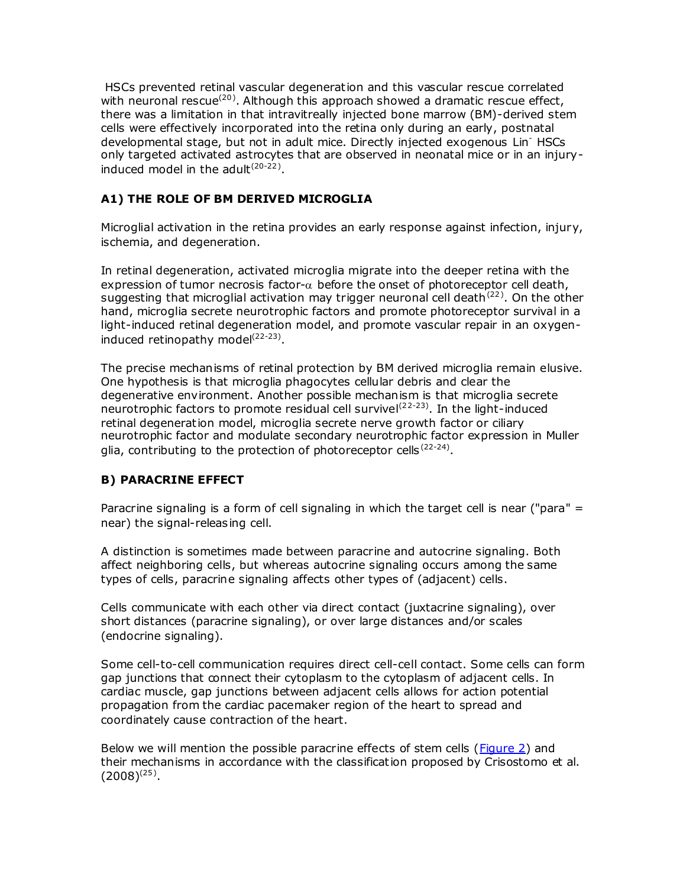HSCs prevented retinal vascular degeneration and this vascular rescue correlated with neuronal rescue<sup>(20)</sup>. Although this approach showed a dramatic rescue effect, there was a limitation in that intravitreally injected bone marrow (BM)-derived stem cells were effectively incorporated into the retina only during an early, postnatal developmental stage, but not in adult mice. Directly injected exogenous Lin- HSCs only targeted activated astrocytes that are observed in neonatal mice or in an injuryinduced model in the adult $(20-22)$ .

# **A1) THE ROLE OF BM DERIVED MICROGLIA**

Microglial activation in the retina provides an early response against infection, injury, ischemia, and degeneration.

In retinal degeneration, activated microglia migrate into the deeper retina with the expression of tumor necrosis factor- $\alpha$  before the onset of photoreceptor cell death, suggesting that microglial activation may trigger neuronal cell death<sup>(22)</sup>. On the other hand, microglia secrete neurotrophic factors and promote photoreceptor survival in a light-induced retinal degeneration model, and promote vascular repair in an oxygeninduced retinopathy model<sup>(22-23)</sup>.

The precise mechanisms of retinal protection by BM derived microglia remain elusive. One hypothesis is that microglia phagocytes cellular debris and clear the degenerative environment. Another possible mechanism is that microglia secrete neurotrophic factors to promote residual cell survivel<sup>(22-23)</sup>. In the light-induced retinal degeneration model, microglia secrete nerve growth factor or ciliary neurotrophic factor and modulate secondary neurotrophic factor expression in Muller glia, contributing to the protection of photoreceptor cells  $(22-24)$ .

# **B) PARACRINE EFFECT**

Paracrine signaling is a form of cell signaling in which the target cell is near ("para" = near) the signal-releasing cell.

A distinction is sometimes made between paracrine and autocrine signaling. Both affect neighboring cells, but whereas autocrine signaling occurs among the same types of cells, paracrine signaling affects other types of (adjacent) cells.

Cells communicate with each other via direct contact (juxtacrine signaling), over short distances (paracrine signaling), or over large distances and/or scales (endocrine signaling).

Some cell-to-cell communication requires direct cell-cell contact. Some cells can form gap junctions that connect their cytoplasm to the cytoplasm of adjacent cells. In cardiac muscle, gap junctions between adjacent cells allows for action potential propagation from the cardiac pacemaker region of the heart to spread and coordinately cause contraction of the heart.

Below we will mention the possible paracrine effects of stem cells [\(Figure 2\)](http://www.scielo.br/scielo.php?script=sci_arttext&pid=S0004-27492010000500019&lng=en&nrm=iso&tlng=en#fig02) and their mechanisms in accordance with the classification proposed by Crisostomo et al.  $(2008)^{(25)}$ .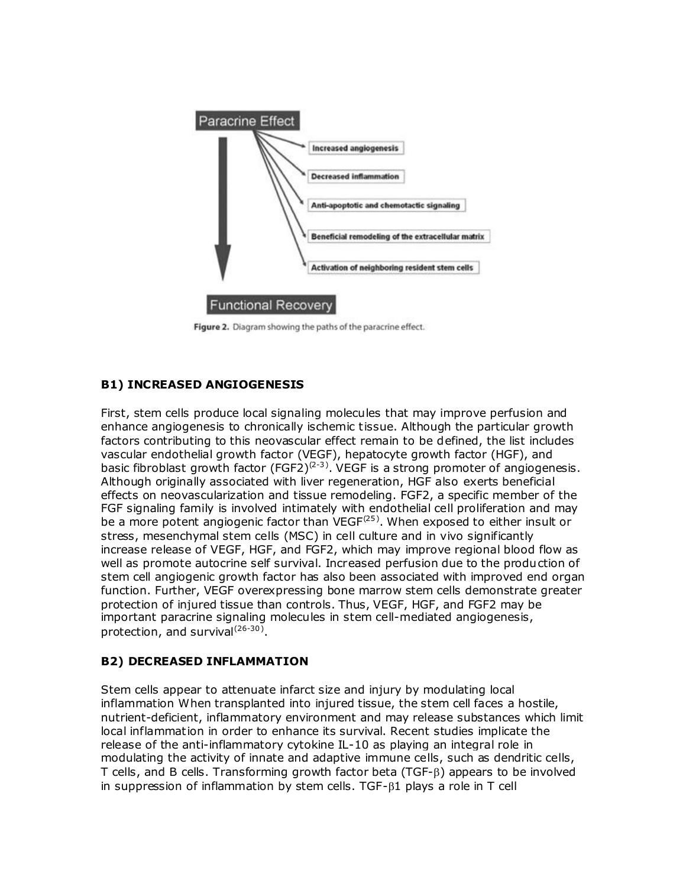

Figure 2. Diagram showing the paths of the paracrine effect.

# **B1) INCREASED ANGIOGENESIS**

First, stem cells produce local signaling molecules that may improve perfusion and enhance angiogenesis to chronically ischemic tissue. Although the particular growth factors contributing to this neovascular effect remain to be defined, the list includes vascular endothelial growth factor (VEGF), hepatocyte growth factor (HGF), and basic fibroblast growth factor (FGF2)<sup>(2-3)</sup>. VEGF is a strong promoter of angiogenesis. Although originally associated with liver regeneration, HGF also exerts beneficial effects on neovascularization and tissue remodeling. FGF2, a specific member of the FGF signaling family is involved intimately with endothelial cell proliferation and may be a more potent angiogenic factor than  $VEGF<sup>(25)</sup>$ . When exposed to either insult or stress, mesenchymal stem cells (MSC) in cell culture and in vivo significantly increase release of VEGF, HGF, and FGF2, which may improve regional blood flow as well as promote autocrine self survival. Increased perfusion due to the production of stem cell angiogenic growth factor has also been associated with improved end organ function. Further, VEGF overexpressing bone marrow stem cells demonstrate greater protection of injured tissue than controls. Thus, VEGF, HGF, and FGF2 may be important paracrine signaling molecules in stem cell-mediated angiogenesis, protection, and survival<sup>(26-30)</sup>.

# **B2) DECREASED INFLAMMATION**

Stem cells appear to attenuate infarct size and injury by modulating local inflammation When transplanted into injured tissue, the stem cell faces a hostile, nutrient-deficient, inflammatory environment and may release substances which limit local inflammation in order to enhance its survival. Recent studies implicate the release of the anti-inflammatory cytokine IL-10 as playing an integral role in modulating the activity of innate and adaptive immune cells, such as dendritic cells, T cells, and B cells. Transforming growth factor beta (TGF-B) appears to be involved in suppression of inflammation by stem cells. TGF- $\beta$ 1 plays a role in T cell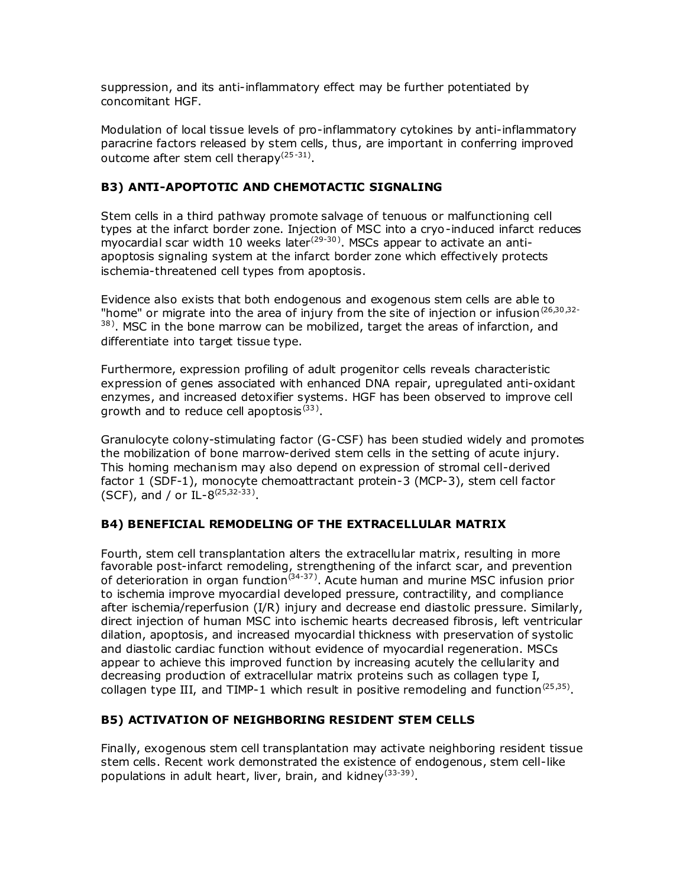suppression, and its anti-inflammatory effect may be further potentiated by concomitant HGF.

Modulation of local tissue levels of pro-inflammatory cytokines by anti-inflammatory paracrine factors released by stem cells, thus, are important in conferring improved outcome after stem cell therapy<sup>(25-31)</sup>.

# **B3) ANTI-APOPTOTIC AND CHEMOTACTIC SIGNALING**

Stem cells in a third pathway promote salvage of tenuous or malfunctioning cell types at the infarct border zone. Injection of MSC into a cryo-induced infarct reduces myocardial scar width 10 weeks later<sup>(29-30)</sup>. MSCs appear to activate an antiapoptosis signaling system at the infarct border zone which effectively protects ischemia-threatened cell types from apoptosis.

Evidence also exists that both endogenous and exogenous stem cells are able to "home" or migrate into the area of injury from the site of injection or infusion  $(26,30,32-$ 38). MSC in the bone marrow can be mobilized, target the areas of infarction, and differentiate into target tissue type.

Furthermore, expression profiling of adult progenitor cells reveals characteristic expression of genes associated with enhanced DNA repair, upregulated anti-oxidant enzymes, and increased detoxifier systems. HGF has been observed to improve cell growth and to reduce cell apoptosis $^{(33)}$ .

Granulocyte colony-stimulating factor (G-CSF) has been studied widely and promotes the mobilization of bone marrow-derived stem cells in the setting of acute injury. This homing mechanism may also depend on expression of stromal cell-derived factor 1 (SDF-1), monocyte chemoattractant protein-3 (MCP-3), stem cell factor (SCF), and / or IL-8<sup> $(25,32-33)$ </sup>.

# **B4) BENEFICIAL REMODELING OF THE EXTRACELLULAR MATRIX**

Fourth, stem cell transplantation alters the extracellular matrix, resulting in more favorable post-infarct remodeling, strengthening of the infarct scar, and prevention of deterioration in organ function<sup> $(34-37)$ </sup>. Acute human and murine MSC infusion prior to ischemia improve myocardial developed pressure, contractility, and compliance after ischemia/reperfusion (I/R) injury and decrease end diastolic pressure. Similarly, direct injection of human MSC into ischemic hearts decreased fibrosis, left ventricular dilation, apoptosis, and increased myocardial thickness with preservation of systolic and diastolic cardiac function without evidence of myocardial regeneration. MSCs appear to achieve this improved function by increasing acutely the cellularity and decreasing production of extracellular matrix proteins such as collagen type I, collagen type III, and TIMP-1 which result in positive remodeling and function<sup>(25,35)</sup>.

# **B5) ACTIVATION OF NEIGHBORING RESIDENT STEM CELLS**

Finally, exogenous stem cell transplantation may activate neighboring resident tissue stem cells. Recent work demonstrated the existence of endogenous, stem cell-like populations in adult heart, liver, brain, and kidney<sup>(33-39)</sup>.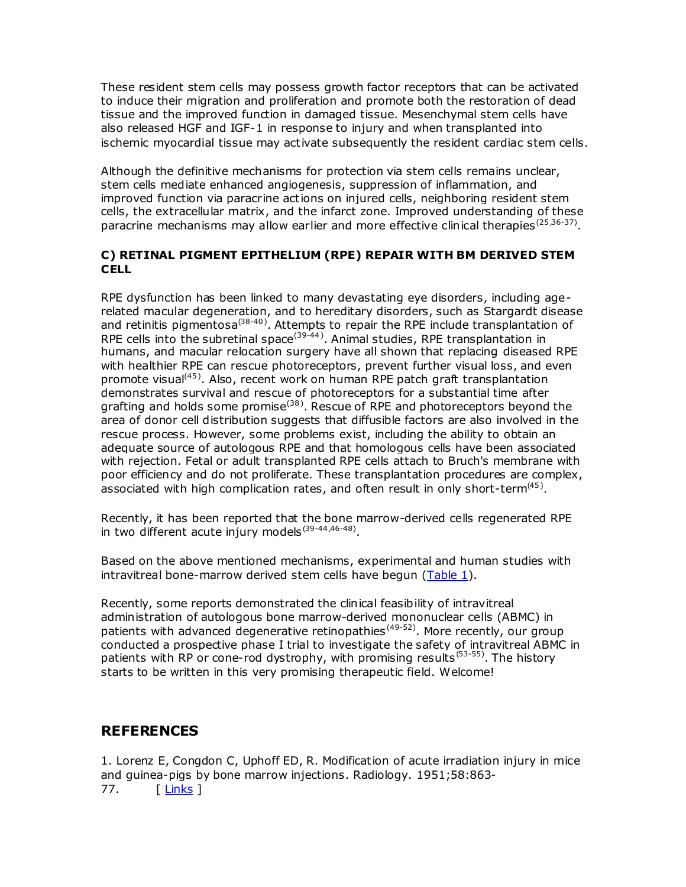These resident stem cells may possess growth factor receptors that can be activated to induce their migration and proliferation and promote both the restoration of dead tissue and the improved function in damaged tissue. Mesenchymal stem cells have also released HGF and IGF-1 in response to injury and when transplanted into ischemic myocardial tissue may activate subsequently the resident cardiac stem cells.

Although the definitive mechanisms for protection via stem cells remains unclear, stem cells mediate enhanced angiogenesis, suppression of inflammation, and improved function via paracrine actions on injured cells, neighboring resident stem cells, the extracellular matrix, and the infarct zone. Improved understanding of these paracrine mechanisms may allow earlier and more effective clinical therapies<sup>(25,36-37)</sup>.

# **C) RETINAL PIGMENT EPITHELIUM (RPE) REPAIR WITH BM DERIVED STEM CELL**

RPE dysfunction has been linked to many devastating eye disorders, including agerelated macular degeneration, and to hereditary disorders, such as Stargardt disease and retinitis pigmentosa<sup>(38-40)</sup>. Attempts to repair the RPE include transplantation of RPE cells into the subretinal space<sup>(39-44)</sup>. Animal studies, RPE transplantation in humans, and macular relocation surgery have all shown that replacing diseased RPE with healthier RPE can rescue photoreceptors, prevent further visual loss, and even promote visual<sup>(45)</sup>. Also, recent work on human RPE patch graft transplantation demonstrates survival and rescue of photoreceptors for a substantial time after grafting and holds some promise<sup>(38)</sup>. Rescue of RPE and photoreceptors beyond the area of donor cell distribution suggests that diffusible factors are also involved in the rescue process. However, some problems exist, including the ability to obtain an adequate source of autologous RPE and that homologous cells have been associated with rejection. Fetal or adult transplanted RPE cells attach to Bruch's membrane with poor efficiency and do not proliferate. These transplantation procedures are complex, associated with high complication rates, and often result in only short-term<sup>(45)</sup>.

Recently, it has been reported that the bone marrow-derived cells regenerated RPE in two different acute injury models  $(39-44, 46-48)$ .

Based on the above mentioned mechanisms, experimental and human studies with intravitreal bone-marrow derived stem cells have begun [\(Table 1\)](http://www.scielo.br/img/revistas/abo/v73n5/a19tab01.jpg).

Recently, some reports demonstrated the clinical feasibility of intravitreal administration of autologous bone marrow-derived mononuclear cells (ABMC) in patients with advanced degenerative retinopathies<sup>(49-52)</sup>. More recently, our group conducted a prospective phase I trial to investigate the safety of intravitreal ABMC in patients with RP or cone-rod dystrophy, with promising results<sup>(53-55)</sup>. The history starts to be written in this very promising therapeutic field. Welcome!

# **REFERENCES**

1. Lorenz E, Congdon C, Uphoff ED, R. Modification of acute irradiation injury in mice and guinea-pigs by bone marrow injections. Radiology*.* 1951;58:863- 77. [[Links](javascript:void(0);) ]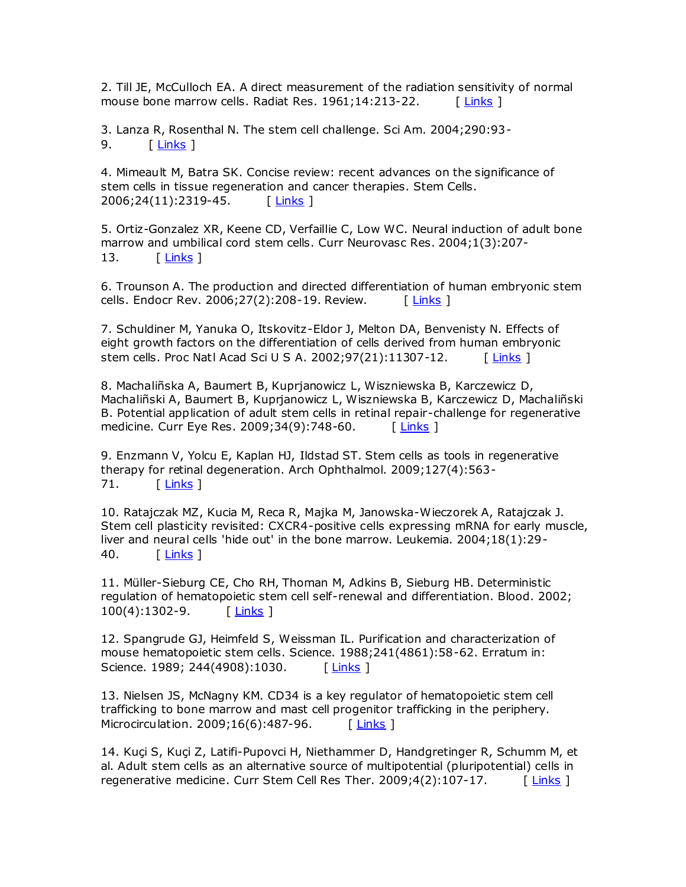2. Till JE, McCulloch EA. A direct measurement of the radiation sensitivity of normal mouse bone marrow cells. Radiat Res. 1961;14:213-22. [[Links](javascript:void(0);) ]

3. Lanza R, Rosenthal N. The stem cell challenge. Sci Am. 2004;290:93- 9. <u>[ [Links](javascript:void(0);)</u> ]

4. Mimeault M, Batra SK. Concise review: recent advances on the significance of stem cells in tissue regeneration and cancer therapies. Stem Cells. 2006;24(11):2319-45. [ [Links](javascript:void(0);) ]

5. Ortiz-Gonzalez XR, Keene CD, Verfaillie C, Low WC. Neural induction of adult bone marrow and umbilical cord stem cells. Curr Neurovasc Res. 2004;1(3):207- 13. [ [Links](javascript:void(0);) ]

6. Trounson A. The production and directed differentiation of human embryonic stem cells. Endocr Rev. 2006;27(2):208-19. Review. [[Links](javascript:void(0);) ]

7. Schuldiner M, Yanuka O, Itskovitz-Eldor J, Melton DA, Benvenisty N. Effects of eight growth factors on the differentiation of cells derived from human embryonic stem cells. Proc Natl Acad Sci U S A. 2002;97(21):11307-12. [ [Links](javascript:void(0);) ]

8. Machaliñska A, Baumert B, Kuprjanowicz L, Wiszniewska B, Karczewicz D, Machaliñski A, Baumert B, Kuprjanowicz L, Wiszniewska B, Karczewicz D, Machaliñski B. Potential application of adult stem cells in retinal repair-challenge for regenerative medicine. Curr Eye Res. 2009;34(9):748-60. [[Links](javascript:void(0);) ]

9. Enzmann V, Yolcu E, Kaplan HJ, Ildstad ST. Stem cells as tools in regenerative therapy for retinal degeneration. Arch Ophthalmol. 2009;127(4):563- 71. [ [Links](javascript:void(0);) ]

10. Ratajczak MZ, Kucia M, Reca R, Majka M, Janowska-Wieczorek A, Ratajczak J. Stem cell plasticity revisited: CXCR4-positive cells expressing mRNA for early muscle, liver and neural cells 'hide out' in the bone marrow. Leukemia. 2004;18(1):29- 40. [ [Links](javascript:void(0);) ]

11. Müller-Sieburg CE, Cho RH, Thoman M, Adkins B, Sieburg HB. Deterministic regulation of hematopoietic stem cell self-renewal and differentiation. Blood. 2002; 100(4):1302-9. [ [Links](javascript:void(0);) ]

12. Spangrude GJ, Heimfeld S, Weissman IL. Purification and characterization of mouse hematopoietic stem cells. Science. 1988;241(4861):58-62. Erratum in: Science. 1989; 244(4908):1030. [ [Links](javascript:void(0);) ]

13. Nielsen JS, McNagny KM. CD34 is a key regulator of hematopoietic stem cell trafficking to bone marrow and mast cell progenitor trafficking in the periphery. Microcirculation. 2009;16(6):487-96. [[Links](javascript:void(0);) ]

14. Kuçi S, Kuçi Z, Latifi-Pupovci H, Niethammer D, Handgretinger R, Schumm M, et al. Adult stem cells as an alternative source of multipotential (pluripotential) cells in regenerative medicine. Curr Stem Cell Res Ther. 2009;4(2):107-17. [[Links](javascript:void(0);) ]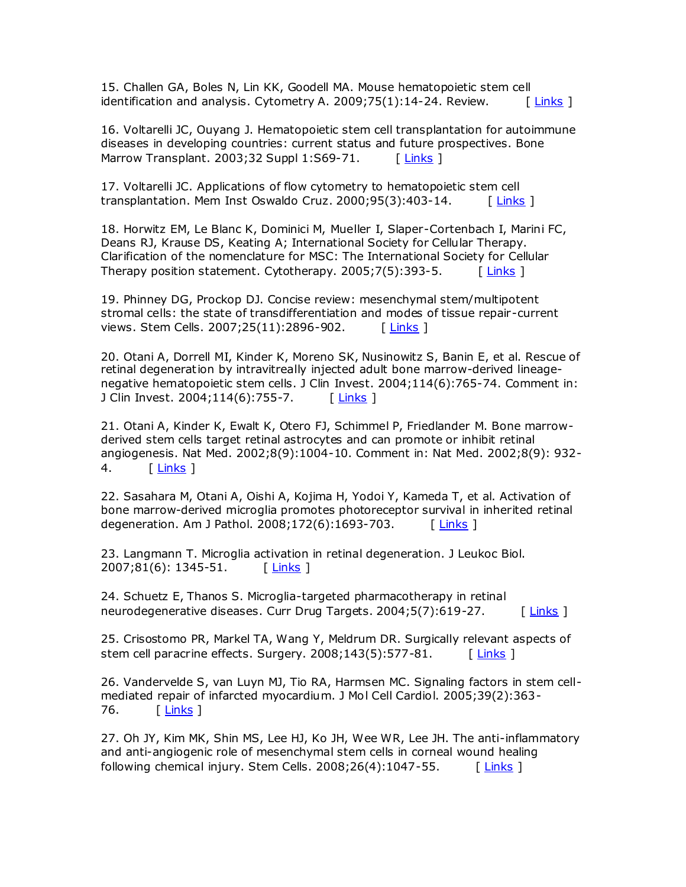15. Challen GA, Boles N, Lin KK, Goodell MA. Mouse hematopoietic stem cell identification and analysis. Cytometry A. 2009;75(1):14-24. Review.  $\left[\right]$  [ [Links](javascript:void(0);) ]

16. Voltarelli JC, Ouyang J. Hematopoietic stem cell transplantation for autoimmune diseases in developing countries: current status and future prospectives. Bone Marrow Transplant. 2003;32 Suppl 1:S69-71. [ [Links](javascript:void(0);) ]

17. Voltarelli JC. Applications of flow cytometry to hematopoietic stem cell transplantation. Mem Inst Oswaldo Cruz. 2000;95(3):403-14. [ [Links](javascript:void(0);) ]

18. Horwitz EM, Le Blanc K, Dominici M, Mueller I, Slaper-Cortenbach I, Marini FC, Deans RJ, Krause DS, Keating A; International Society for Cellular Therapy. Clarification of the nomenclature for MSC: The International Society for Cellular Therapy position statement. Cytotherapy. 2005;7(5):393-5.  $\left[\right]$  [ [Links](javascript:void(0);) ]

19. Phinney DG, Prockop DJ. Concise review: mesenchymal stem/multipotent stromal cells: the state of transdifferentiation and modes of tissue repair-current views. Stem Cells. 2007;25(11):2896-902. [ [Links](javascript:void(0);) ]

20. Otani A, Dorrell MI, Kinder K, Moreno SK, Nusinowitz S, Banin E, et al. Rescue of retinal degeneration by intravitreally injected adult bone marrow-derived lineagenegative hematopoietic stem cells. J Clin Invest. 2004;114(6):765-74. Comment in: J Clin Invest. 2004;114(6):755-7. [[Links](javascript:void(0);) ]

21. Otani A, Kinder K, Ewalt K, Otero FJ, Schimmel P, Friedlander M. Bone marrowderived stem cells target retinal astrocytes and can promote or inhibit retinal angiogenesis. Nat Med. 2002;8(9):1004-10. Comment in: Nat Med. 2002;8(9): 932- 4. [ [Links](javascript:void(0);) ]

22. Sasahara M, Otani A, Oishi A, Kojima H, Yodoi Y, Kameda T, et al. Activation of bone marrow-derived microglia promotes photoreceptor survival in inherited retinal degeneration. Am J Pathol. 2008;172(6):1693-703. [ [Links](javascript:void(0);) ]

23. Langmann T. Microglia activation in retinal degeneration. J Leukoc Biol. 2007;81(6): 1345-51. [[Links](javascript:void(0);) ]

24. Schuetz E, Thanos S. Microglia-targeted pharmacotherapy in retinal neurodegenerative diseases. Curr Drug Targets. 2004;5(7):619-27. [ [Links](javascript:void(0);) ]

25. Crisostomo PR, Markel TA, Wang Y, Meldrum DR. Surgically relevant aspects of stem cell paracrine effects. Surgery.  $2008;143(5):577-81$ . [ [Links](javascript:void(0);) ]

26. Vandervelde S, van Luyn MJ, Tio RA, Harmsen MC. Signaling factors in stem cellmediated repair of infarcted myocardium. J Mol Cell Cardiol. 2005;39(2):363- 76. [ [Links](javascript:void(0);) ]

27. Oh JY, Kim MK, Shin MS, Lee HJ, Ko JH, Wee WR, Lee JH. The anti-inflammatory and anti-angiogenic role of mesenchymal stem cells in corneal wound healing following chemical injury. Stem Cells.  $2008;26(4):1047-55$ . [[Links](javascript:void(0);) ]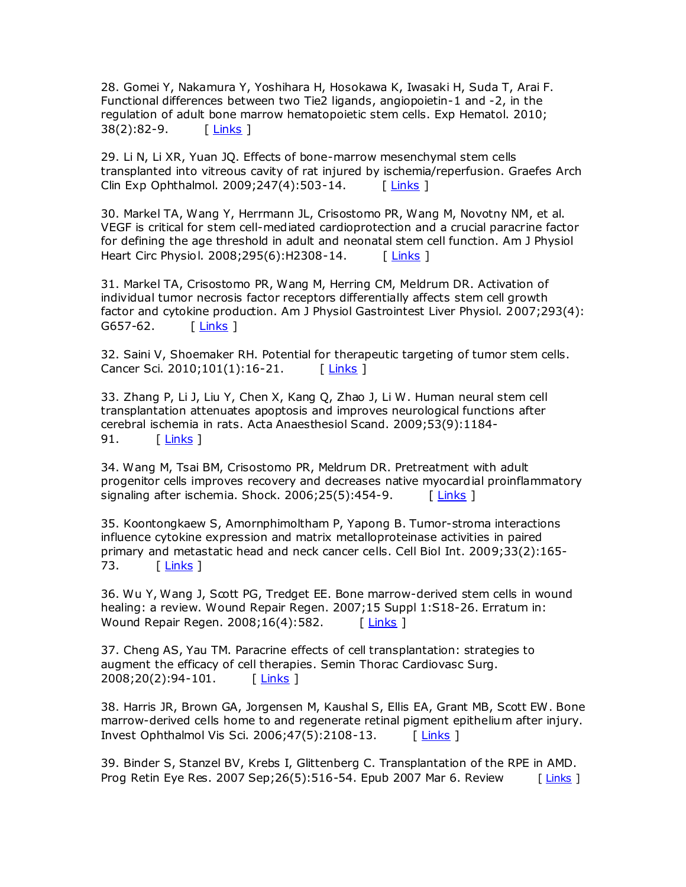28. Gomei Y, Nakamura Y, Yoshihara H, Hosokawa K, Iwasaki H, Suda T, Arai F. Functional differences between two Tie2 ligands, angiopoietin-1 and -2, in the regulation of adult bone marrow hematopoietic stem cells. Exp Hematol. 2010; 38(2):82-9. [[Links](javascript:void(0);) ]

29. Li N, Li XR, Yuan JQ. Effects of bone-marrow mesenchymal stem cells transplanted into vitreous cavity of rat injured by ischemia/reperfusion. Graefes Arch Clin Exp Ophthalmol. 2009;247(4):503-14. [[Links](javascript:void(0);) ]

30. Markel TA, Wang Y, Herrmann JL, Crisostomo PR, Wang M, Novotny NM, et al. VEGF is critical for stem cell-mediated cardioprotection and a crucial paracrine factor for defining the age threshold in adult and neonatal stem cell function. Am J Physiol Heart Circ Physiol. 2008;295(6):H2308-14. [ [Links](javascript:void(0);) ]

31. Markel TA, Crisostomo PR, Wang M, Herring CM, Meldrum DR. Activation of individual tumor necrosis factor receptors differentially affects stem cell growth factor and cytokine production. Am J Physiol Gastrointest Liver Physiol. 2007;293(4): G657-62. [ [Links](javascript:void(0);) ]

32. Saini V, Shoemaker RH. Potential for therapeutic targeting of tumor stem cells. Cancer Sci. 2010;101(1):16-21. [ [Links](javascript:void(0);) ]

33. Zhang P, Li J, Liu Y, Chen X, Kang Q, Zhao J, Li W. Human neural stem cell transplantation attenuates apoptosis and improves neurological functions after cerebral ischemia in rats. Acta Anaesthesiol Scand. 2009;53(9):1184- 91. [[Links](javascript:void(0);) ]

34. Wang M, Tsai BM, Crisostomo PR, Meldrum DR. Pretreatment with adult progenitor cells improves recovery and decreases native myocardial proinflammatory signaling after ischemia. Shock.  $2006;25(5):454-9$ . [[Links](javascript:void(0);) ]

35. Koontongkaew S, Amornphimoltham P, Yapong B. Tumor-stroma interactions influence cytokine expression and matrix metalloproteinase activities in paired primary and metastatic head and neck cancer cells. Cell Biol Int. 2009;33(2):165- 73. <u>[ [Links](javascript:void(0);)</u> ]

36. Wu Y, Wang J, Scott PG, Tredget EE. Bone marrow-derived stem cells in wound healing: a review. Wound Repair Regen. 2007;15 Suppl 1:S18-26. Erratum in: Wound Repair Regen. 2008;16(4):582. [[Links](javascript:void(0);) ]

37. Cheng AS, Yau TM. Paracrine effects of cell transplantation: strategies to augment the efficacy of cell therapies. Semin Thorac Cardiovasc Surg. 2008;20(2):94-101. [ [Links](javascript:void(0);) ]

38. Harris JR, Brown GA, Jorgensen M, Kaushal S, Ellis EA, Grant MB, Scott EW. Bone marrow-derived cells home to and regenerate retinal pigment epithelium after injury. Invest Ophthalmol Vis Sci. 2006;47(5):2108-13. [ [Links](javascript:void(0);) ]

39. Binder S, Stanzel BV, Krebs I, Glittenberg C. Transplantation of the RPE in AMD. Prog Retin Eye Res. 2007 Sep; 26(5): 516-54. Epub 2007 Mar 6. Review [ [Links](javascript:void(0);) ]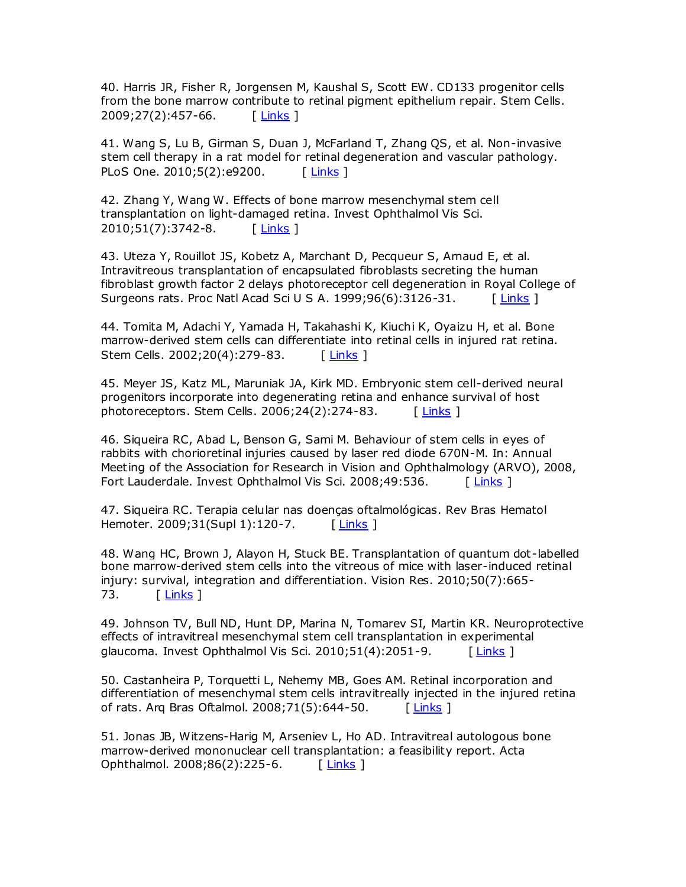40. Harris JR, Fisher R, Jorgensen M, Kaushal S, Scott EW. CD133 progenitor cells from the bone marrow contribute to retinal pigment epithelium repair. Stem Cells. 2009;27(2):457-66. [ [Links](javascript:void(0);) ]

41. Wang S, Lu B, Girman S, Duan J, McFarland T, Zhang QS, et al. Non-invasive stem cell therapy in a rat model for retinal degeneration and vascular pathology. PLoS One. 2010;5(2):e9200. [ [Links](javascript:void(0);) ]

42. Zhang Y, Wang W. Effects of bone marrow mesenchymal stem cell transplantation on light-damaged retina. Invest Ophthalmol Vis Sci. 2010;51(7):3742-8. [[Links](javascript:void(0);) ]

43. Uteza Y, Rouillot JS, Kobetz A, Marchant D, Pecqueur S, Arnaud E, et al. Intravitreous transplantation of encapsulated fibroblasts secreting the human fibroblast growth factor 2 delays photoreceptor cell degeneration in Royal College of Surgeons rats. Proc Natl Acad Sci U S A. 1999;96(6):3126-31. [[Links](javascript:void(0);) ]

44. Tomita M, Adachi Y, Yamada H, Takahashi K, Kiuchi K, Oyaizu H, et al. Bone marrow-derived stem cells can differentiate into retinal cells in injured rat retina. Stem Cells. 2002;20(4):279-83. [[Links](javascript:void(0);) ]

45. Meyer JS, Katz ML, Maruniak JA, Kirk MD. Embryonic stem cell-derived neural progenitors incorporate into degenerating retina and enhance survival of host photoreceptors. Stem Cells. 2006;24(2):274-83. [ [Links](javascript:void(0);) ]

46. Siqueira RC, Abad L, Benson G, Sami M. Behaviour of stem cells in eyes of rabbits with chorioretinal injuries caused by laser red diode 670N-M. In: Annual Meeting of the Association for Research in Vision and Ophthalmology (ARVO), 2008, Fort Lauderdale. Invest Ophthalmol Vis Sci. 2008;49:536. [ [Links](javascript:void(0);) ]

47. Siqueira RC. Terapia celular nas doenças oftalmológicas. Rev Bras Hematol Hemoter. 2009;31(Supl 1):120-7. [ [Links](javascript:void(0);) ]

48. Wang HC, Brown J, Alayon H, Stuck BE. Transplantation of quantum dot -labelled bone marrow-derived stem cells into the vitreous of mice with laser-induced retinal injury: survival, integration and differentiation. Vision Res. 2010;50(7):665- 73. [ [Links](javascript:void(0);) ]

49. Johnson TV, Bull ND, Hunt DP, Marina N, Tomarev SI, Martin KR. Neuroprotective effects of intravitreal mesenchymal stem cell transplantation in experimental glaucoma. Invest Ophthalmol Vis Sci. 2010;51(4):2051-9.  $\sqrt{\text{Links}}$  $\sqrt{\text{Links}}$  $\sqrt{\text{Links}}$ 

50. Castanheira P, Torquetti L, Nehemy MB, Goes AM. Retinal incorporation and differentiation of mesenchymal stem cells intravitreally injected in the injured retina of rats. Arq Bras Oftalmol. 2008;71(5):644-50. [[Links](javascript:void(0);) ]

51. Jonas JB, Witzens-Harig M, Arseniev L, Ho AD. Intravitreal autologous bone marrow-derived mononuclear cell transplantation: a feasibility report. Acta Ophthalmol. 2008;86(2):225-6. [[Links](javascript:void(0);) ]